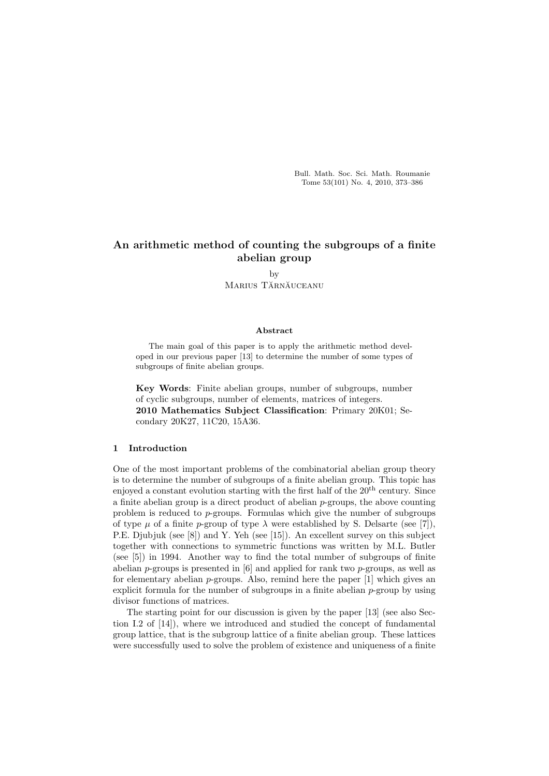Bull. Math. Soc. Sci. Math. Roumanie Tome 53(101) No. 4, 2010, 373–386

# An arithmetic method of counting the subgroups of a finite abelian group

by Marius Tărnăuceanu

#### Abstract

The main goal of this paper is to apply the arithmetic method developed in our previous paper [13] to determine the number of some types of subgroups of finite abelian groups.

Key Words: Finite abelian groups, number of subgroups, number of cyclic subgroups, number of elements, matrices of integers.

2010 Mathematics Subject Classification: Primary 20K01; Secondary 20K27, 11C20, 15A36.

# 1 Introduction

One of the most important problems of the combinatorial abelian group theory is to determine the number of subgroups of a finite abelian group. This topic has enjoyed a constant evolution starting with the first half of the  $20<sup>th</sup>$  century. Since a finite abelian group is a direct product of abelian p-groups, the above counting problem is reduced to p-groups. Formulas which give the number of subgroups of type  $\mu$  of a finite p-group of type  $\lambda$  were established by S. Delsarte (see [7]), P.E. Djubjuk (see [8]) and Y. Yeh (see [15]). An excellent survey on this subject together with connections to symmetric functions was written by M.L. Butler (see [5]) in 1994. Another way to find the total number of subgroups of finite abelian  $p$ -groups is presented in [6] and applied for rank two  $p$ -groups, as well as for elementary abelian  $p$ -groups. Also, remind here the paper  $[1]$  which gives an explicit formula for the number of subgroups in a finite abelian  $p$ -group by using divisor functions of matrices.

The starting point for our discussion is given by the paper [13] (see also Section I.2 of [14]), where we introduced and studied the concept of fundamental group lattice, that is the subgroup lattice of a finite abelian group. These lattices were successfully used to solve the problem of existence and uniqueness of a finite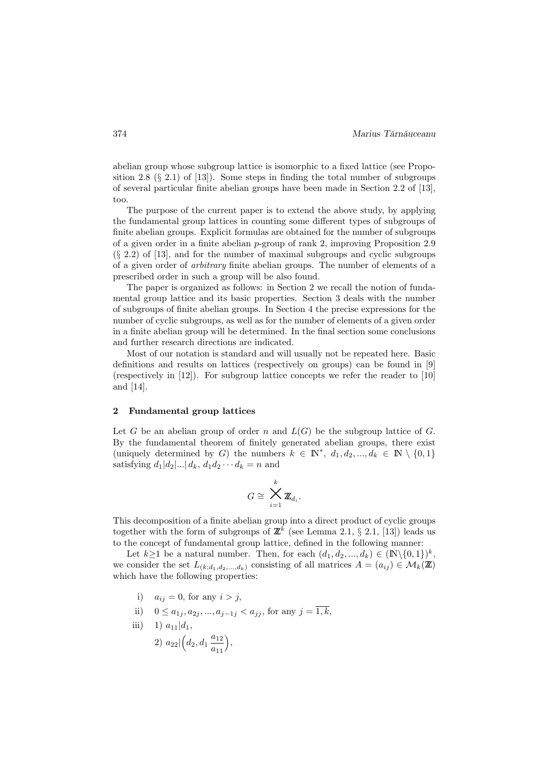abelian group whose subgroup lattice is isomorphic to a fixed lattice (see Proposition 2.8  $(\S 2.1)$  of [13]). Some steps in finding the total number of subgroups of several particular finite abelian groups have been made in Section 2.2 of [13], too.

The purpose of the current paper is to extend the above study, by applying the fundamental group lattices in counting some different types of subgroups of finite abelian groups. Explicit formulas are obtained for the number of subgroups of a given order in a finite abelian  $p$ -group of rank 2, improving Proposition 2.9 (§ 2.2) of [13], and for the number of maximal subgroups and cyclic subgroups of a given order of *arbitrary* finite abelian groups. The number of elements of a prescribed order in such a group will be also found.

The paper is organized as follows: in Section 2 we recall the notion of fundamental group lattice and its basic properties. Section 3 deals with the number of subgroups of finite abelian groups. In Section 4 the precise expressions for the number of cyclic subgroups, as well as for the number of elements of a given order in a finite abelian group will be determined. In the final section some conclusions and further research directions are indicated.

Most of our notation is standard and will usually not be repeated here. Basic definitions and results on lattices (respectively on groups) can be found in [9] (respectively in [12]). For subgroup lattice concepts we refer the reader to [10] and [14].

#### 2 Fundamental group lattices

Let G be an abelian group of order n and  $L(G)$  be the subgroup lattice of G. By the fundamental theorem of finitely generated abelian groups, there exist (uniquely determined by G) the numbers  $k \in \mathbb{N}^*, d_1, d_2, ..., d_k \in \mathbb{N} \setminus \{0, 1\}$ satisfying  $d_1|d_2|...|d_k$ ,  $d_1d_2...d_k = n$  and

$$
G\cong \bigtimes_{i=1}^k \mathbf{Z}_{d_i}.
$$

This decomposition of a finite abelian group into a direct product of cyclic groups together with the form of subgroups of  $\mathbb{Z}^k$  (see Lemma 2.1, § 2.1, [13]) leads us to the concept of fundamental group lattice, defined in the following manner:

Let  $k \geq 1$  be a natural number. Then, for each  $(d_1, d_2, ..., d_k) \in (\mathbb{N} \setminus \{0, 1\})^k$ , we consider the set  $L_{(k;d_1,d_2,...,d_k)}$  consisting of all matrices  $A = (a_{ij}) \in \mathcal{M}_k(\mathbb{Z})$ which have the following properties:

- i)  $a_{ij} = 0$ , for any  $i > j$ ,
- ii)  $0 \le a_{1j}, a_{2j}, ..., a_{j-1j} < a_{jj}$ , for any  $j = \overline{1,k}$ ,
- iii) 1)  $a_{11}|d_1$ , 2)  $a_{22}$   $\left(d_2, d_1, \frac{a_{12}}{a_2}\right)$  $a_{11}$ ´ ,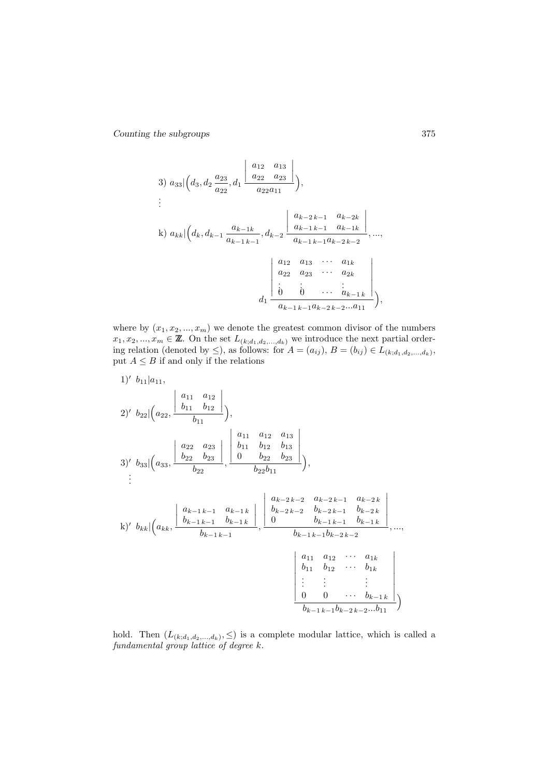3) 
$$
a_{33} \Big| \Big( d_3, d_2 \frac{a_{23}}{a_{22}}, d_1 \frac{\Big| \begin{array}{c} a_{12} & a_{13} \\ a_{22} & a_{23} \end{array} \Big|}{a_{22} a_{11}} \Big),
$$
  
\n
$$
\vdots
$$
\n\nk)  $a_{kk} \Big| \Big( d_k, d_{k-1} \frac{a_{k-1k}}{a_{k-1} k - 1}, d_{k-2} \frac{\Big| \begin{array}{c} a_{k-2k-1} & a_{k-2k} \\ a_{k-1 k-1} & a_{k-1 k} \end{array} \Big|}{a_{k-1} k - 1} \Big|, \dots,$ \n
$$
\Big| \begin{array}{c} a_{12} & a_{13} & \cdots & a_{1k} \\ a_{22} & a_{23} & \cdots & a_{2k} \\ \vdots & \vdots & \ddots & \vdots \\ a_{k-1} k - 1 a_{k-2} k - 2 \cdots & a_{11} \end{array} \Big|
$$

where by  $(x_1, x_2, ..., x_m)$  we denote the greatest common divisor of the numbers  $x_1, x_2, ..., x_m \in \mathbb{Z}$ . On the set  $L_{(k; d_1, d_2, ..., d_k)}$  we introduce the next partial ordering relation (denoted by  $\leq$ ), as follows: for  $A = (a_{ij}), B = (b_{ij}) \in L_{(k; d_1, d_2, ..., d_k)},$ put  $A \leq B$  if and only if the relations

1)' 
$$
b_{11}|a_{11}
$$
,  
\n2)'  $b_{22}|\left(a_{22}, \frac{b_{11}a_{12}}{b_{11}}\right)$ ,  
\n3)'  $b_{33}|\left(a_{33}, \frac{b_{22}a_{23}}{b_{22}}\right|$ ,  $\frac{a_{11}a_{12}a_{13}}{b_{22}b_{23}}$ ,  
\n3)'  $b_{33}|\left(a_{33}, \frac{b_{22}a_{23}}{b_{22}}\right|$ ,  $\frac{a_{11}a_{12}a_{13}}{b_{22}b_{11}}$ ,  
\n $\vdots$   
\n $b_{11}b_{12}b_{13}$ ,  
\n $\vdots$   
\n $b_{22}b_{21}$ ,  $\frac{b_{11}b_{12}a_{13}}{b_{22}b_{11}}$ ,  
\n $\vdots$   
\n $b_{k-2}b_{k-1}$ ,  $a_{k-1}b_{k-1}$ ,  $a_{k-1}b_{k-2}$ ,  $a_{k-2}b_{k-1}a_{k-2}$ ,  $a_{k-2}b_{k-1}$ ,  $a_{k-2}b_{k-1}$ ,  $b_{k-2}b_{k-2}$ ,  
\n $b_{k+1}|a_{kk}, \frac{a_{k-1}b_{k-1}a_{k-1}}{b_{k-1}b_{k-1}}\right|$ ,  $\frac{a_{k-2}b_{k-2}a_{k-2}a_{k-2}a_{k-2}}{b_{k-1}b_{k-1}b_{k-2}b_{k-2}}$ , ...,  $a_{1k}$   
\n $\begin{bmatrix} a_{11} & a_{12} & \cdots & a_{1k} \\ b_{11} & b_{12} & \cdots & b_{1k} \\ \vdots & \vdots & & \vdots \\ 0 & 0 & \cdots & b_{k-1}b_{k-2}b_{k-2} \cdots & b_{11} \\ b_{k-1}b_{k-1}b_{k-2}b_{k-2} \cdots & b_{11} \end{bmatrix}$ 

hold. Then  $(L_{(k,d_1,d_2,...,d_k)}, \leq)$  is a complete modular lattice, which is called a *fundamental group lattice of degree* k.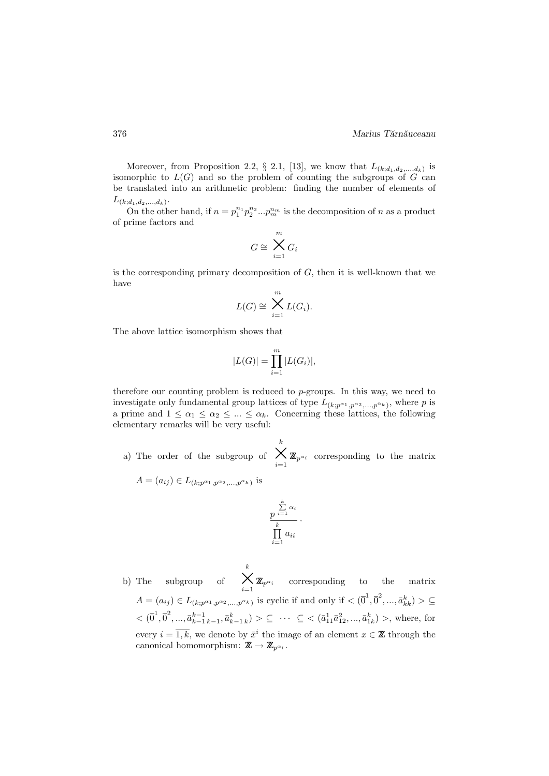Moreover, from Proposition 2.2,  $\S$  2.1, [13], we know that  $L_{(k; d_1, d_2, ..., d_k)}$  is isomorphic to  $L(G)$  and so the problem of counting the subgroups of G can be translated into an arithmetic problem: finding the number of elements of  $L_{(k; d_1, d_2, ..., d_k)}$ .

On the other hand, if  $n = p_1^{n_1} p_2^{n_2} ... p_m^{n_m}$  is the decomposition of n as a product of prime factors and

$$
G\cong \bigtimes_{i=1}^m G_i
$$

is the corresponding primary decomposition of  $G$ , then it is well-known that we have

$$
L(G) \cong \bigtimes_{i=1}^{m} L(G_i).
$$

The above lattice isomorphism shows that

$$
|L(G)| = \prod_{i=1}^{m} |L(G_i)|,
$$

therefore our counting problem is reduced to p-groups. In this way, we need to investigate only fundamental group lattices of type  $L_{(k;p^{\alpha_1},p^{\alpha_2},...,p^{\alpha_k})}$ , where p is a prime and  $1 \leq \alpha_1 \leq \alpha_2 \leq ... \leq \alpha_k$ . Concerning these lattices, the following elementary remarks will be very useful:

- a) The order of the subgroup of  $\sum_{i=1}^k \mathbb{Z}_{p^{\alpha_i}}$  corresponding to the matrix
	- $A = (a_{ij}) \in L_{(k;p^{\alpha_1}, p^{\alpha_2}, \dots, p^{\alpha_k})}$  is

$$
\frac{p^{\sum\limits_{i=1}^{k}\alpha_i}}{\prod\limits_{i=1}^{k}a_{ii}}
$$

·

b) The subgroup of  $\sum_{i=1}^k \mathbb{Z}_{p^{\alpha_i}}$  corresponding to the matrix  $A = (a_{ij}) \in L_{(k; p^{\alpha_1}, p^{\alpha_2}, ..., p^{\alpha_k})}$  is cyclic if and only if  $\langle 0^1, 0^2, ..., 0^k, k \rangle > \mathcal{Q}$  $<(\bar{0}^1, \bar{0}^2, ..., \bar{a}_{k-1 k-1}^{k-1}, \bar{a}_{k-1 k}^k) > \subseteq \cdots \subseteq <(\bar{a}_{11}^1 \bar{a}_{12}^2, ..., \bar{a}_{1k}^k) >$ , where, for every  $i = \overline{1,k}$ , we denote by  $\bar{x}^i$  the image of an element  $x \in \mathbb{Z}$  through the canonical homomorphism:  $\mathbb{Z} \to \mathbb{Z}_{p^{\alpha_i}}$ .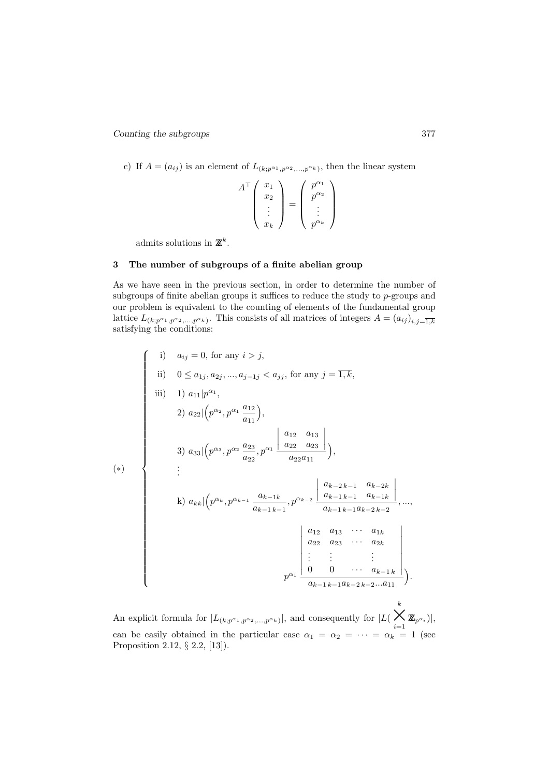c) If  $A = (a_{ij})$  is an element of  $L_{(k;p^{\alpha_1},p^{\alpha_2},...,p^{\alpha_k})}$ , then the linear system

$$
A^{\top} \begin{pmatrix} x_1 \\ x_2 \\ \vdots \\ x_k \end{pmatrix} = \begin{pmatrix} p^{\alpha_1} \\ p^{\alpha_2} \\ \vdots \\ p^{\alpha_k} \end{pmatrix}
$$

admits solutions in  $\mathbb{Z}^k$ .

# 3 The number of subgroups of a finite abelian group

As we have seen in the previous section, in order to determine the number of subgroups of finite abelian groups it suffices to reduce the study to p-groups and our problem is equivalent to the counting of elements of the fundamental group lattice  $L_{(k;p^{\alpha_1},p^{\alpha_2},...,p^{\alpha_k})}$ . This consists of all matrices of integers  $A=(a_{ij})_{i,j=\overline{1,k}}$ satisfying the conditions:

$$
(*)
$$
\n  
\nii)  $a_{ij} = 0$ , for any  $i > j$ ,  
\niii)  $1) a_{11} | p^{\alpha_1}$ ,  
\n $2) a_{22} | (p^{\alpha_2}, p^{\alpha_1} \frac{a_{12}}{a_{11}}),$   
\n $3) a_{33} | (p^{\alpha_3}, p^{\alpha_2} \frac{a_{23}}{a_{22}}, p^{\alpha_1} \frac{a_{12}}{a_{22} a_{11}}),$   
\n $...$   
\n $(*)$ \n $(*)$ \n $(*)$ \n $...$   
\n $3) a_{33} | (p^{\alpha_3}, p^{\alpha_2} \frac{a_{23}}{a_{22}}, p^{\alpha_1} \frac{a_{12} a_{13}}{a_{22} a_{11}}),$   
\n $...$   
\n $...$   
\n $k) a_{kk} | (p^{\alpha_k}, p^{\alpha_{k-1}} \frac{a_{k-1k}}{a_{k-1k-1}}, p^{\alpha_{k-2}} \frac{a_{k-2k-1} a_{k-2k}}{a_{k-1k-1} a_{k-2k-2}}, ...,$   
\n $a_{12} a_{13} ... a_{1k}$   
\n $a_{22} a_{23} ... a_{2k}$   
\n $...$   
\n $p^{\alpha_1} \frac{a_{12} a_{13} ... a_{1k}}{a_{k-1k-1} a_{k-2k-2} ... a_{11}}).$ 

An explicit formula for  $|L_{(k;p^{\alpha_1},p^{\alpha_2},...,p^{\alpha_k})}|$ , and consequently for  $|L(\theta)|$  $\sum_{i=1}^k \mathbb{Z}_{p^{\alpha_i}})|,$ can be easily obtained in the particular case  $\alpha_1 = \alpha_2 = \cdots = \alpha_k = 1$  (see Proposition 2.12, § 2.2, [13]).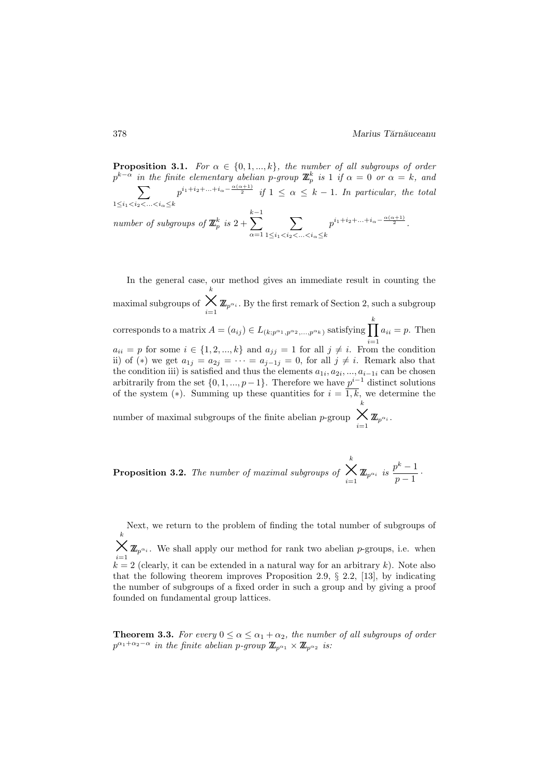**Proposition 3.1.** *For*  $\alpha \in \{0, 1, ..., k\}$ *, the number of all subgroups of order*  $p^{k-\alpha}$  *in the finite elementary abelian p-group*  $\mathbb{Z}_p^k$  $\sum$ *is* 1 *if*  $\alpha = 0$  *or*  $\alpha = k$ *, and*  $1 \leq i_1 < i_2 < \ldots < i_\alpha \leq k$  $p^{i_1+i_2+\ldots+i_\alpha-\frac{\alpha(\alpha+1)}{2}}$  if  $1\,\leq\,\alpha\,\leq\,k-1.$  In particular, the total *number of subgroups of*  $\mathbb{Z}_p^k$  *is* 2 +  $\sum^{k-1}$  $\alpha=1$  $\sum$  $1 \leq i_1 < i_2 < \ldots < i_\alpha \leq k$  $p^{i_1+i_2+\ldots+i_{\alpha}-\frac{\alpha(\alpha+1)}{2}}.$ 

In the general case, our method gives an immediate result in counting the maximal subgroups of  $\bigtimes_{i=1}^{\kappa} \mathbb{Z}_{p^{\alpha_i}}$ . By the first remark of Section 2, such a subgroup k corresponds to a matrix  $A = (a_{ij}) \in L_{(k;p^{\alpha_1}, p^{\alpha_2}, \ldots, p^{\alpha_k})}$  satisfying  $\prod$ k  $a_{ii} = p$  for some  $i \in \{1, 2, ..., k\}$  and  $a_{jj} = 1$  for all  $j \neq i$ . From the condition  $a_{ii} = p$ . Then ii) of (\*) we get  $a_{1j} = a_{2j} = \cdots = a_{j-1j} = 0$ , for all  $j \neq i$ . Remark also that the condition iii) is satisfied and thus the elements  $a_{1i}, a_{2i}, ..., a_{i-1i}$  can be chosen arbitrarily from the set  $\{0, 1, ..., p-1\}$ . Therefore we have  $p^{i-1}$  distinct solutions of the system (\*). Summing up these quantities for  $i = \overline{1,k}$ , we determine the number of maximal subgroups of the finite abelian *p*-group  $\bigtimes_{i=1}^{\kappa} \mathbb{Z}_{p^{\alpha_i}}$ . k

Proposition 3.2. *The number of maximal subgroups of*  $\bigtimes_{i=1}^k \mathbb{Z}_{p^{\alpha_i}}$  is  $\frac{p^k-1}{p-1}$  $\frac{1}{p-1}$ .

Next, we return to the problem of finding the total number of subgroups of k  $\bigtimes_{i=1}^{\kappa} \mathbb{Z}_{p^{\alpha_i}}$ . We shall apply our method for rank two abelian *p*-groups, i.e. when  $k = 2$  (clearly, it can be extended in a natural way for an arbitrary k). Note also that the following theorem improves Proposition 2.9,  $\S$  2.2, [13], by indicating the number of subgroups of a fixed order in such a group and by giving a proof founded on fundamental group lattices.

**Theorem 3.3.** *For every*  $0 \le \alpha \le \alpha_1 + \alpha_2$ , *the number of all subgroups of order*  $p^{\alpha_1+\alpha_2-\alpha}$  *in the finite abelian p-group*  $\mathbb{Z}_{p^{\alpha_1}} \times \mathbb{Z}_{p^{\alpha_2}}$  *is:*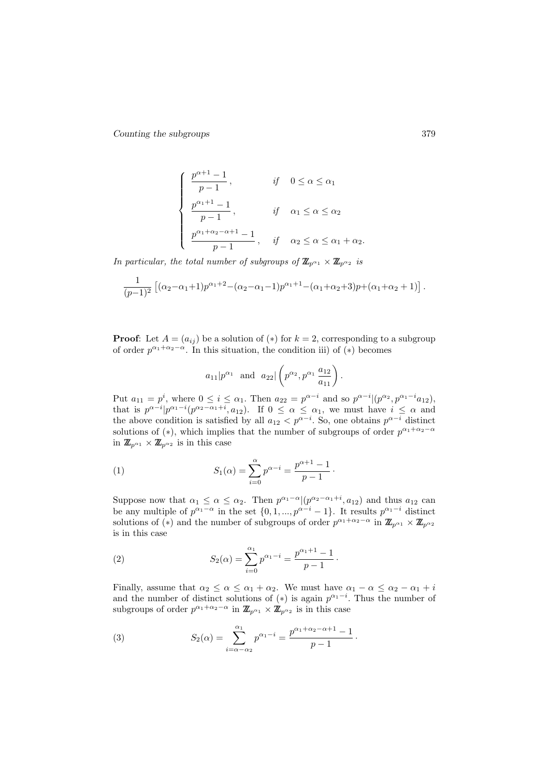$$
\begin{cases}\n\frac{p^{\alpha+1}-1}{p-1}, & \text{if } 0 \le \alpha \le \alpha_1 \\
\frac{p^{\alpha_1+1}-1}{p-1}, & \text{if } \alpha_1 \le \alpha \le \alpha_2 \\
\frac{p^{\alpha_1+\alpha_2-\alpha+1}-1}{p-1}, & \text{if } \alpha_2 \le \alpha \le \alpha_1+\alpha_2.\n\end{cases}
$$

*In particular, the total number of subgroups of*  $\mathbb{Z}_{p^{\alpha_1}} \times \mathbb{Z}_{p^{\alpha_2}}$  *is* 

$$
\frac{1}{(p-1)^2} \left[ (\alpha_2 - \alpha_1 + 1) p^{\alpha_1 + 2} - (\alpha_2 - \alpha_1 - 1) p^{\alpha_1 + 1} - (\alpha_1 + \alpha_2 + 3) p + (\alpha_1 + \alpha_2 + 1) \right].
$$

**Proof:** Let  $A = (a_{ij})$  be a solution of  $(*)$  for  $k = 2$ , corresponding to a subgroup of order  $p^{\alpha_1+\alpha_2-\alpha}$ . In this situation, the condition iii) of (\*) becomes

$$
a_{11}|p^{\alpha_1}
$$
 and  $a_{22}|\left(p^{\alpha_2},p^{\alpha_1}\frac{a_{12}}{a_{11}}\right)$ .

Put  $a_{11} = p^i$ , where  $0 \le i \le \alpha_1$ . Then  $a_{22} = p^{\alpha - i}$  and so  $p^{\alpha - i} | (p^{\alpha_2}, p^{\alpha_1 - i} a_{12}),$ that is  $p^{\alpha-i}|p^{\alpha_1-i}(p^{\alpha_2-\alpha_1+i},a_{12})$ . If  $0 \leq \alpha \leq \alpha_1$ , we must have  $i \leq \alpha$  and the above condition is satisfied by all  $a_{12} < p^{\alpha-i}$ . So, one obtains  $p^{\alpha-i}$  distinct solutions of (\*), which implies that the number of subgroups of order  $p^{\alpha_1+\alpha_2-\alpha}$ in  $\mathbb{Z}_{p^{\alpha_1}} \times \mathbb{Z}_{p^{\alpha_2}}$  is in this case

(1) 
$$
S_1(\alpha) = \sum_{i=0}^{\alpha} p^{\alpha - i} = \frac{p^{\alpha + 1} - 1}{p - 1}.
$$

Suppose now that  $\alpha_1 \leq \alpha \leq \alpha_2$ . Then  $p^{\alpha_1-\alpha} | (p^{\alpha_2-\alpha_1+i}, a_{12})$  and thus  $a_{12}$  can be any multiple of  $p^{\alpha_1-\alpha}$  in the set  $\{0,1,...,p^{\alpha-i}-1\}$ . It results  $p^{\alpha_1-i}$  distinct solutions of (\*) and the number of subgroups of order  $p^{\alpha_1+\alpha_2-\alpha}$  in  $\mathbb{Z}_{p^{\alpha_1}}\times\mathbb{Z}_{p^{\alpha_2}}$ is in this case

(2) 
$$
S_2(\alpha) = \sum_{i=0}^{\alpha_1} p^{\alpha_1 - i} = \frac{p^{\alpha_1 + 1} - 1}{p - 1}.
$$

Finally, assume that  $\alpha_2 \leq \alpha \leq \alpha_1 + \alpha_2$ . We must have  $\alpha_1 - \alpha \leq \alpha_2 - \alpha_1 + i$ and the number of distinct solutions of  $(*)$  is again  $p^{\alpha_1-i}$ . Thus the number of subgroups of order  $p^{\alpha_1+\alpha_2-\alpha}$  in  $\mathbb{Z}_{p^{\alpha_1}} \times \mathbb{Z}_{p^{\alpha_2}}$  is in this case

(3) 
$$
S_2(\alpha) = \sum_{i=\alpha-\alpha_2}^{\alpha_1} p^{\alpha_1-i} = \frac{p^{\alpha_1+\alpha_2-\alpha+1}-1}{p-1}.
$$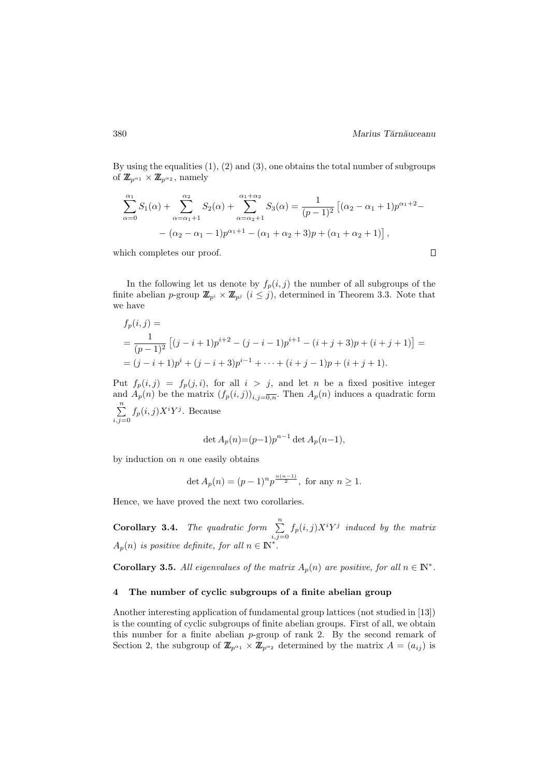$\Box$ 

By using the equalities  $(1)$ ,  $(2)$  and  $(3)$ , one obtains the total number of subgroups of  $\mathbb{Z}_{p^{\alpha_1}} \times \mathbb{Z}_{p^{\alpha_2}}$ , namely

$$
\sum_{\alpha=0}^{\alpha_1} S_1(\alpha) + \sum_{\alpha=\alpha_1+1}^{\alpha_2} S_2(\alpha) + \sum_{\alpha=\alpha_2+1}^{\alpha_1+\alpha_2} S_3(\alpha) = \frac{1}{(p-1)^2} \left[ (\alpha_2 - \alpha_1 + 1) p^{\alpha_1+2} - (\alpha_2 - \alpha_1 - 1) p^{\alpha_1+1} - (\alpha_1 + \alpha_2 + 3) p + (\alpha_1 + \alpha_2 + 1) \right],
$$

which completes our proof.

In the following let us denote by  $f_p(i,j)$  the number of all subgroups of the finite abelian p-group  $\mathbb{Z}_{p^i} \times \mathbb{Z}_{p^j}$   $(i \leq j)$ , determined in Theorem 3.3. Note that we have

$$
f_p(i,j) =
$$
  
=  $\frac{1}{(p-1)^2} [(j-i+1)p^{i+2} - (j-i-1)p^{i+1} - (i+j+3)p + (i+j+1)] =$   
=  $(j-i+1)p^i + (j-i+3)p^{i-1} + \dots + (i+j-1)p + (i+j+1).$ 

Put  $f_p(i,j) = f_p(j,i)$ , for all  $i > j$ , and let n be a fixed positive integer and  $A_p(n)$  be the matrix  $(f_p(i,j))_{i,j=\overline{0,n}}$ . Then  $A_p(n)$  induces a quadratic form  $\sum_{n=1}^{\infty}$  $\sum_{i,j=0} f_p(i,j) X^i Y^j$ . Because

$$
\det A_p(n) = (p-1)p^{n-1} \det A_p(n-1),
$$

by induction on  $n$  one easily obtains

$$
\det A_p(n) = (p-1)^n p^{\frac{n(n-1)}{2}}, \text{ for any } n \ge 1.
$$

Hence, we have proved the next two corollaries.

**Corollary 3.4.** *The quadratic form*  $\sum_{n=1}^{\infty}$  $\sum_{i,j=0} f_p(i,j) X^i Y^j$  induced by the matrix  $A_p(n)$  is positive definite, for all  $n \in \mathbb{N}^*$ .

Corollary 3.5. All eigenvalues of the matrix  $A_p(n)$  are positive, for all  $n \in \mathbb{N}^*$ .

### 4 The number of cyclic subgroups of a finite abelian group

Another interesting application of fundamental group lattices (not studied in [13]) is the counting of cyclic subgroups of finite abelian groups. First of all, we obtain this number for a finite abelian p-group of rank 2. By the second remark of Section 2, the subgroup of  $\mathbb{Z}_{p^{\alpha_1}} \times \mathbb{Z}_{p^{\alpha_2}}$  determined by the matrix  $A = (a_{ij})$  is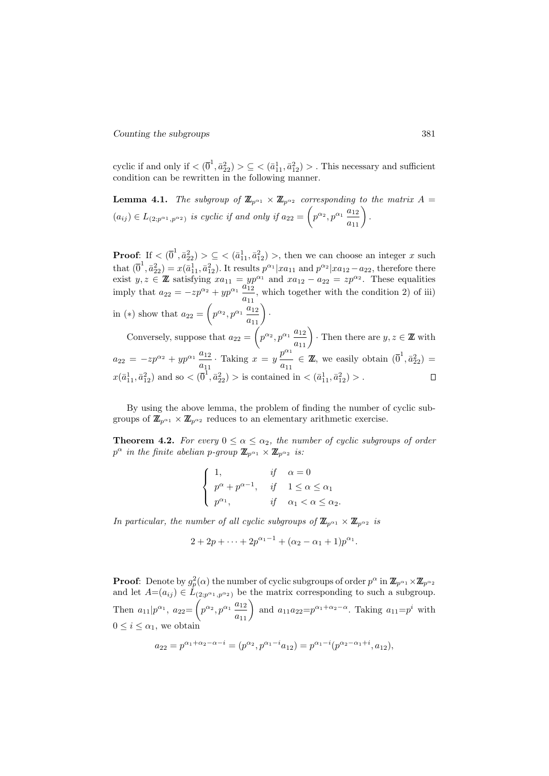cyclic if and only if  $\langle (\overline{0}^1, \overline{a}_{22}^2) \rangle \subseteq \langle (\overline{a}_{11}^1, \overline{a}_{12}^2) \rangle$ . This necessary and sufficient condition can be rewritten in the following manner.

**Lemma 4.1.** *The subgroup of*  $\mathbb{Z}_{p^{\alpha_1}} \times \mathbb{Z}_{p^{\alpha_2}}$  *corresponding to the matrix*  $A =$  $(a_{ij}) \in L_{(2;p^{\alpha_1}, p^{\alpha_2})}$  is cyclic if and only if  $a_{22} = \left(p^{\alpha_2}, p^{\alpha_1} \frac{a_{12}}{a_{11}}\right)$ .

**Proof:** If  $\langle (\bar{0}^1, \bar{a}_{22}^2) \rangle \subseteq \langle (\bar{a}_{11}^1, \bar{a}_{12}^2) \rangle$ , then we can choose an integer x such that  $(0^1, \bar{a}_{22}^2) = x(\bar{a}_{11}^1, \bar{a}_{12}^2)$ . It results  $p^{\alpha_1}|xa_{11}$  and  $p^{\alpha_2}|xa_{12}-a_{22}$ , therefore there exist  $y, z \in \mathbb{Z}$  satisfying  $xa_{11} = yp^{\alpha_1}$  and  $xa_{12} - a_{22} = zp^{\alpha_2}$ . These equalities imply that  $a_{22} = -zp^{\alpha_2} + yp^{\alpha_1} \frac{a_{12}^{3p}}{2}$  $\frac{a_{12}}{a_{11}}$ , which together with the condition 2) of iii) in (\*) show that  $a_{22} = \left(p^{\alpha_2}, p^{\alpha_1} \frac{a_{12}}{a_{11}}\right)$ . Conversely, suppose that  $a_{22} = \left(p^{\alpha_2}, p^{\alpha_1} \frac{a_{12}}{a_{11}}\right)$ . Then there are  $y, z \in \mathbb{Z}$  with  $a_{22} = -zp^{\alpha_2} + yp^{\alpha_1} \frac{a_{12}}{a}$  $\frac{a_{12}}{a_{11}}$ . Taking  $x = y \frac{p^{\alpha_1}}{a_{11}}$  $\frac{p^{\alpha_1}}{a_{11}} \in \mathbb{Z}$ , we easily obtain  $(\overline{0}^1, \overline{a}_{22}^2) =$  $x(\bar{a}_{11}^1, \bar{a}_{12}^2)$  and so  $\lt(\bar{0}^1, \bar{a}_{22}^2) > \text{is contained in } \lt(\bar{a}_{11}^1, \bar{a}_{12}^2) > \text{.}$ 

By using the above lemma, the problem of finding the number of cyclic subgroups of  $\mathbb{Z}_{p^{\alpha_1}} \times \mathbb{Z}_{p^{\alpha_2}}$  reduces to an elementary arithmetic exercise.

**Theorem 4.2.** *For every*  $0 \le \alpha \le \alpha_2$ , *the number of cyclic subgroups of order*  $p^{\alpha}$  *in the finite abelian p-group*  $\mathbb{Z}_{p^{\alpha_1}} \times \mathbb{Z}_{p^{\alpha_2}}$  *is:* 

$$
\begin{cases}\n1, & if \alpha = 0 \\
p^{\alpha} + p^{\alpha - 1}, & if \quad 1 \leq \alpha \leq \alpha_1 \\
p^{\alpha_1}, & if \quad \alpha_1 < \alpha \leq \alpha_2.\n\end{cases}
$$

*In particular, the number of all cyclic subgroups of*  $\mathbb{Z}_{n^{\alpha_1}} \times \mathbb{Z}_{n^{\alpha_2}}$  *is* 

$$
2 + 2p + \cdots + 2p^{\alpha_1 - 1} + (\alpha_2 - \alpha_1 + 1)p^{\alpha_1}.
$$

**Proof**: Denote by  $g_p^2(\alpha)$  the number of cyclic subgroups of order  $p^{\alpha}$  in  $\mathbb{Z}_{p^{\alpha_1}}\times\mathbb{Z}_{p^{\alpha_2}}$ and let  $A=(a_{ij}) \in L_{(2;p^{\alpha_1},p^{\alpha_2})}$  be the matrix corresponding to such a subgroup. Then  $a_{11}|p^{\alpha_1}$ ,  $a_{22} = \left(p^{\alpha_2}, p^{\alpha_1} \frac{a_{12}}{a_{11}}\right)$  and  $a_{11}a_{22} = p^{\alpha_1 + \alpha_2 - \alpha}$ . Taking  $a_{11} = p^i$  with  $0 \leq i \leq \alpha_1$ , we obtain

$$
a_{22}=p^{\alpha_1+\alpha_2-\alpha-i}=(p^{\alpha_2},p^{\alpha_1-i}a_{12})=p^{\alpha_1-i}(p^{\alpha_2-\alpha_1+i},a_{12}),
$$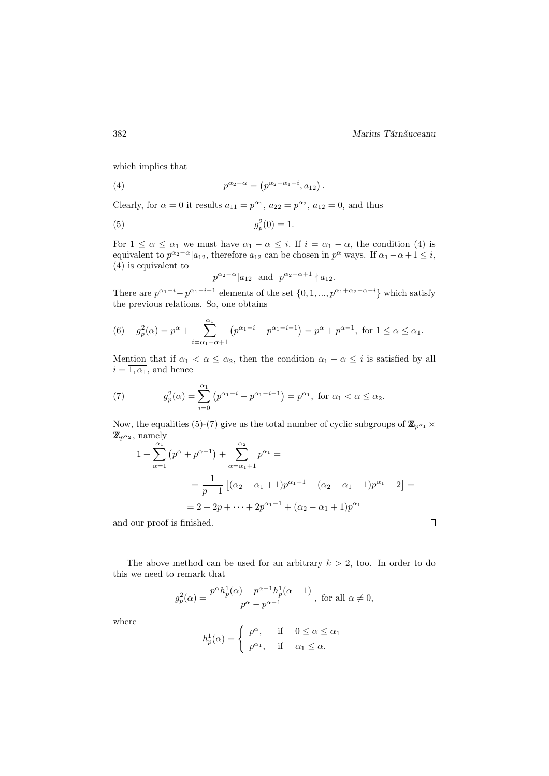382 Marius Tărnăuceanu

 $\Box$ 

which implies that

(4) 
$$
p^{\alpha_2 - \alpha} = (p^{\alpha_2 - \alpha_1 + i}, a_{12}).
$$

Clearly, for  $\alpha = 0$  it results  $a_{11} = p^{\alpha_1}$ ,  $a_{22} = p^{\alpha_2}$ ,  $a_{12} = 0$ , and thus

(5) 
$$
g_p^2(0) = 1.
$$

For  $1 \leq \alpha \leq \alpha_1$  we must have  $\alpha_1 - \alpha \leq i$ . If  $i = \alpha_1 - \alpha$ , the condition (4) is equivalent to  $p^{\alpha_2-\alpha}|a_{12}$ , therefore  $a_{12}$  can be chosen in  $p^{\alpha}$  ways. If  $\alpha_1-\alpha+1 \leq i$ , (4) is equivalent to

$$
p^{\alpha_2-\alpha}|a_{12}
$$
 and  $p^{\alpha_2-\alpha+1}|a_{12}$ .

There are  $p^{\alpha_1-i}-p^{\alpha_1-i-1}$  elements of the set  $\{0,1,...,p^{\alpha_1+\alpha_2-\alpha-i}\}$  which satisfy the previous relations. So, one obtains

(6) 
$$
g_p^2(\alpha) = p^{\alpha} + \sum_{i=\alpha_1-\alpha+1}^{\alpha_1} (p^{\alpha_1-i} - p^{\alpha_1-i-1}) = p^{\alpha} + p^{\alpha-1}, \text{ for } 1 \le \alpha \le \alpha_1.
$$

Mention that if  $\alpha_1 < \alpha \leq \alpha_2$ , then the condition  $\alpha_1 - \alpha \leq i$  is satisfied by all  $i = \overline{1, \alpha_1}$ , and hence

(7) 
$$
g_p^2(\alpha) = \sum_{i=0}^{\alpha_1} (p^{\alpha_1 - i} - p^{\alpha_1 - i - 1}) = p^{\alpha_1}, \text{ for } \alpha_1 < \alpha \le \alpha_2.
$$

Now, the equalities (5)-(7) give us the total number of cyclic subgroups of  $\mathbb{Z}_{p^{\alpha_1}} \times$  $\mathbb{Z}_{p^{\alpha_2}}$ , namely

$$
1 + \sum_{\alpha=1}^{\alpha_1} (p^{\alpha} + p^{\alpha-1}) + \sum_{\alpha=\alpha_1+1}^{\alpha_2} p^{\alpha_1} =
$$
  
= 
$$
\frac{1}{p-1} [(\alpha_2 - \alpha_1 + 1) p^{\alpha_1+1} - (\alpha_2 - \alpha_1 - 1) p^{\alpha_1} - 2] =
$$
  
= 
$$
2 + 2p + \dots + 2p^{\alpha_1-1} + (\alpha_2 - \alpha_1 + 1) p^{\alpha_1}
$$

and our proof is finished.

The above method can be used for an arbitrary  $k > 2$ , too. In order to do this we need to remark that

$$
g_p^2(\alpha)=\frac{p^\alpha h_p^1(\alpha)-p^{\alpha-1}h_p^1(\alpha-1)}{p^\alpha-p^{\alpha-1}}\,,\text{ for all }\alpha\neq 0,
$$

where

$$
h_p^1(\alpha) = \begin{cases} p^{\alpha}, & \text{if } 0 \le \alpha \le \alpha_1 \\ p^{\alpha_1}, & \text{if } \alpha_1 \le \alpha. \end{cases}
$$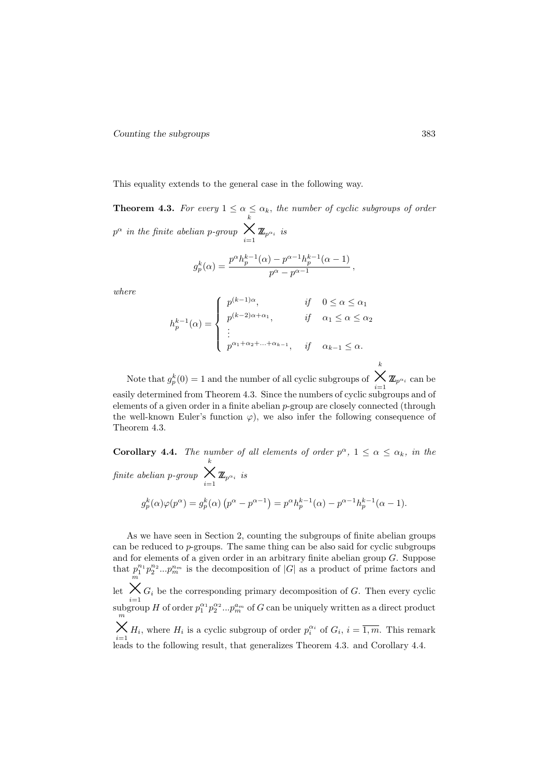This equality extends to the general case in the following way.

**Theorem 4.3.** For every  $1 \leq \alpha \leq \alpha_k$ , the number of cyclic subgroups of order  $p^{\alpha}$  *in the finite abelian* p-group  $\sum_{i=1}^{k} \mathbb{Z}_{p^{\alpha_i}}$  *is* 

$$
g_p^k(\alpha) = \frac{p^{\alpha} h_p^{k-1}(\alpha) - p^{\alpha-1} h_p^{k-1}(\alpha-1)}{p^{\alpha} - p^{\alpha-1}},
$$

*where*

$$
h_p^{k-1}(\alpha) = \begin{cases} p^{(k-1)\alpha}, & \text{if } 0 \le \alpha \le \alpha_1 \\ p^{(k-2)\alpha + \alpha_1}, & \text{if } \alpha_1 \le \alpha \le \alpha_2 \\ \vdots \\ p^{\alpha_1 + \alpha_2 + \dots + \alpha_{k-1}}, & \text{if } \alpha_{k-1} \le \alpha. \end{cases}
$$

Note that  $g_p^k(0) = 1$  and the number of all cyclic subgroups of  $\sum_{i=1}^{\kappa} \mathbb{Z}_{p^{\alpha_i}}$  can be easily determined from Theorem 4.3. Since the numbers of cyclic subgroups and of elements of a given order in a finite abelian  $p$ -group are closely connected (through the well-known Euler's function  $\varphi$ ), we also infer the following consequence of Theorem 4.3.

**Corollary 4.4.** *The number of all elements of order*  $p^{\alpha}$ ,  $1 \leq \alpha \leq \alpha_k$ , *in the finite abelian* p*-group*  $\sum_{i=1}^k \mathbb{Z}_{p^{\alpha_i}}$  *is* 

$$
g_p^k(\alpha)\varphi(p^{\alpha}) = g_p^k(\alpha) \left( p^{\alpha} - p^{\alpha-1} \right) = p^{\alpha} h_p^{k-1}(\alpha) - p^{\alpha-1} h_p^{k-1}(\alpha - 1).
$$

As we have seen in Section 2, counting the subgroups of finite abelian groups can be reduced to p-groups. The same thing can be also said for cyclic subgroups and for elements of a given order in an arbitrary finite abelian group G. Suppose that  $p_1^{n_1}p_2^{n_2}...p_m^{n_m}$  is the decomposition of  $|G|$  as a product of prime factors and let  $\bigtimes_{i=1}^{m} G_i$  be the corresponding primary decomposition of G. Then every cyclic subgroup H of order  $p_1^{\alpha_1}p_2^{\alpha_2}...p_m^{a_m}$  of G can be uniquely written as a direct product  $\frac{m}{m}$  $\bigtimes_{i=1}^{m} H_i$ , where  $H_i$  is a cyclic subgroup of order  $p_i^{\alpha_i}$  of  $G_i$ ,  $i = \overline{1,m}$ . This remark  $i=1$ <br>leads to the following result, that generalizes Theorem 4.3. and Corollary 4.4.

k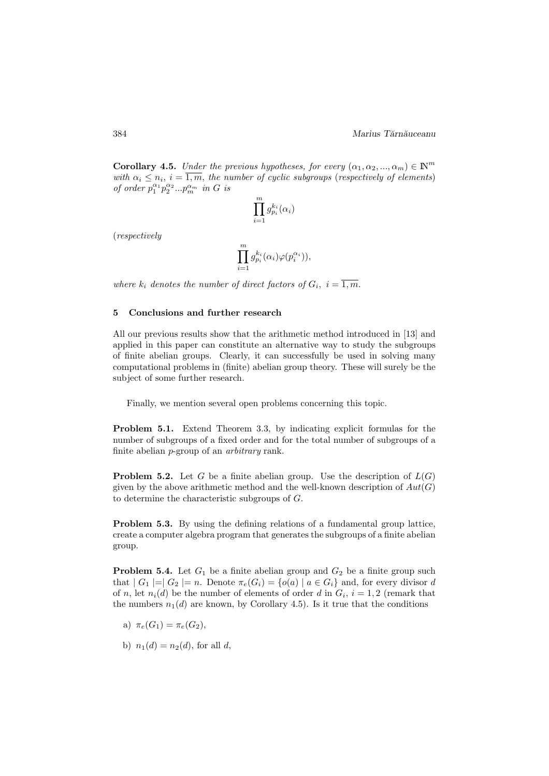**Corollary 4.5.** *Under the previous hypotheses, for every*  $(\alpha_1, \alpha_2, ..., \alpha_m) \in \mathbb{N}^m$ with  $\alpha_i \leq n_i$ ,  $i = \overline{1,m}$ , the number of cyclic subgroups (*respectively of elements*) *of order*  $p_1^{\alpha_1} p_2^{\alpha_2} ... p_m^{\alpha_m}$  *in G is* 

$$
\prod_{i=1}^m g_{p_i}^{k_i}(\alpha_i)
$$

(*respectively*

$$
\prod_{i=1}^m g_{p_i}^{k_i}(\alpha_i) \varphi(p_i^{\alpha_i})),
$$

*where*  $k_i$  *denotes the number of direct factors of*  $G_i$ ,  $i = \overline{1,m}$ .

### 5 Conclusions and further research

All our previous results show that the arithmetic method introduced in [13] and applied in this paper can constitute an alternative way to study the subgroups of finite abelian groups. Clearly, it can successfully be used in solving many computational problems in (finite) abelian group theory. These will surely be the subject of some further research.

Finally, we mention several open problems concerning this topic.

Problem 5.1. Extend Theorem 3.3, by indicating explicit formulas for the number of subgroups of a fixed order and for the total number of subgroups of a finite abelian p-group of an *arbitrary* rank.

**Problem 5.2.** Let G be a finite abelian group. Use the description of  $L(G)$ given by the above arithmetic method and the well-known description of  $Aut(G)$ to determine the characteristic subgroups of G.

Problem 5.3. By using the defining relations of a fundamental group lattice, create a computer algebra program that generates the subgroups of a finite abelian group.

**Problem 5.4.** Let  $G_1$  be a finite abelian group and  $G_2$  be a finite group such that  $|G_1| = |G_2| = n$ . Denote  $\pi_e(G_i) = \{o(a) | a \in G_i\}$  and, for every divisor d of n, let  $n_i(d)$  be the number of elements of order d in  $G_i$ ,  $i = 1, 2$  (remark that the numbers  $n_1(d)$  are known, by Corollary 4.5). Is it true that the conditions

- a)  $\pi_e(G_1) = \pi_e(G_2)$ ,
- b)  $n_1(d) = n_2(d)$ , for all d,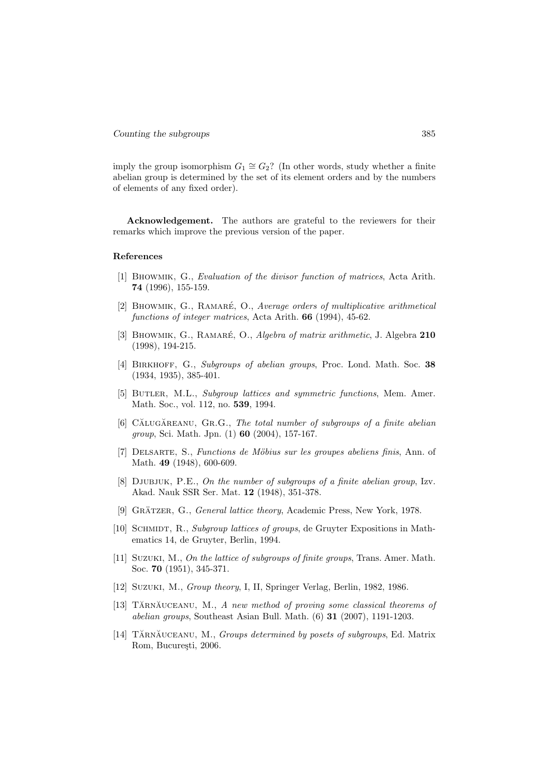imply the group isomorphism  $G_1 \cong G_2$ ? (In other words, study whether a finite abelian group is determined by the set of its element orders and by the numbers of elements of any fixed order).

Acknowledgement. The authors are grateful to the reviewers for their remarks which improve the previous version of the paper.

## References

- [1] Bhowmik, G., *Evaluation of the divisor function of matrices*, Acta Arith. 74 (1996), 155-159.
- [2] BHOWMIK, G., RAMARÉ, O., *Average orders of multiplicative arithmetical functions of integer matrices*, Acta Arith. 66 (1994), 45-62.
- [3] BHOWMIK, G., RAMARÉ, O., *Algebra of matrix arithmetic*, J. Algebra 210 (1998), 194-215.
- [4] Birkhoff, G., *Subgroups of abelian groups*, Proc. Lond. Math. Soc. 38 (1934, 1935), 385-401.
- [5] Butler, M.L., *Subgroup lattices and symmetric functions*, Mem. Amer. Math. Soc., vol. 112, no. 539, 1994.
- [6] CĂLUGĂREANU, GR.G., *The total number of subgroups of a finite abelian group*, Sci. Math. Jpn. (1) 60 (2004), 157-167.
- [7] Delsarte, S., *Functions de M¨obius sur les groupes abeliens finis*, Ann. of Math. 49 (1948), 600-609.
- [8] Djubjuk, P.E., *On the number of subgroups of a finite abelian group*, Izv. Akad. Nauk SSR Ser. Mat. 12 (1948), 351-378.
- [9] GRÄTZER, G., *General lattice theory*, Academic Press, New York, 1978.
- [10] SCHMIDT, R., *Subgroup lattices of groups*, de Gruyter Expositions in Mathematics 14, de Gruyter, Berlin, 1994.
- [11] Suzuki, M., *On the lattice of subgroups of finite groups*, Trans. Amer. Math. Soc. 70 (1951), 345-371.
- [12] Suzuki, M., *Group theory*, I, II, Springer Verlag, Berlin, 1982, 1986.
- [13] TĂRNĂUCEANU, M., A new method of proving some classical theorems of *abelian groups*, Southeast Asian Bull. Math. (6) 31 (2007), 1191-1203.
- [14] TĂRNĂUCEANU, M., *Groups determined by posets of subgroups*, Ed. Matrix Rom, București, 2006.